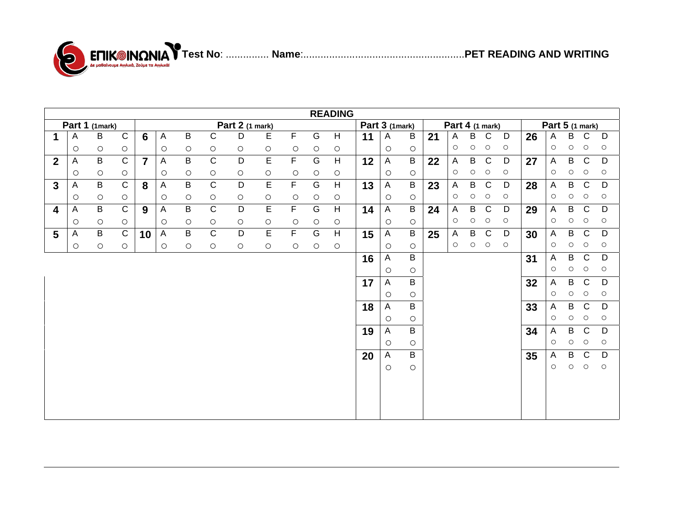



|                         | <b>READING</b>            |                |                     |                |                |                |                |            |                |                     |                     |            |                 |                     |                     |    |              |                     |              |         |    |         |            |                     |                     |
|-------------------------|---------------------------|----------------|---------------------|----------------|----------------|----------------|----------------|------------|----------------|---------------------|---------------------|------------|-----------------|---------------------|---------------------|----|--------------|---------------------|--------------|---------|----|---------|------------|---------------------|---------------------|
| Part 1 (1mark)          |                           |                | Part 2 (1 mark)     |                |                |                |                |            |                |                     | Part 3 (1mark)      |            | Part 4 (1 mark) |                     |                     |    |              | Part 5 (1 mark)     |              |         |    |         |            |                     |                     |
| 1                       | A                         | $\sf B$        | $\mathsf C$         | 6              | $\overline{A}$ | $\sf B$        | $\mathsf{C}$   | D          | E              | $\mathsf F$         | G                   | H          | 11              | A                   | B                   | 21 | A            | B                   | $\mathsf{C}$ | D       | 26 | A       | B          | C                   | D                   |
|                         | $\circ$                   | $\circ$        | $\bigcirc$          |                | $\circ$        | $\circ$        | $\circ$        | $\circ$    | $\circ$        | $\circlearrowright$ | $\circ$             | $\circ$    |                 | $\circ$             | $\circ$             |    | $\circ$      | $\circlearrowright$ | $\circ$      | $\circ$ |    | $\circ$ | $\circ$    | $\circ$             | $\circ$             |
| $\overline{2}$          | $\boldsymbol{\mathsf{A}}$ | $\sf B$        | $\mathsf C$         | $\overline{7}$ | A              | B              | $\mathsf{C}$   | D          | E              | F                   | G                   | H          | 12              | A                   | B                   | 22 | $\mathsf{A}$ | B                   | $\mathsf{C}$ | D       | 27 | A       | B          | $\mathsf{C}$        | D                   |
|                         | $\bigcirc$                | $\circ$        | $\circlearrowright$ |                | $\circ$        | $\bigcirc$     | $\bigcirc$     | $\bigcirc$ | $\circ$        | $\bigcirc$          | $\circlearrowright$ | $\bigcirc$ |                 | $\circlearrowright$ | $\circ$             |    | $\circ$      | $\bigcirc$          | $\circ$      | $\circ$ |    | $\circ$ | $\circ$    | $\circ$             | $\circ$             |
| $\mathbf{3}$            | A                         | $\overline{B}$ | $\overline{C}$      | 8              | $\overline{A}$ | $\sf B$        | $\overline{C}$ | D          | $\overline{E}$ | $\overline{F}$      | G                   | H          | 13              | A                   | $\sf B$             | 23 | $\mathsf{A}$ | B                   | $\mathsf{C}$ | D       | 28 | A       | B          | $\mathsf{C}$        | D                   |
|                         |                           |                |                     |                |                |                |                |            |                |                     |                     |            |                 |                     |                     |    | $\circ$      | $\bigcirc$          | $\circ$      | $\circ$ |    | $\circ$ | $\bigcirc$ | $\circlearrowright$ | $\circlearrowright$ |
|                         | $\bigcirc$                | $\circ$        | $\bigcirc$          |                | $\circ$        | $\bigcirc$     | $\bigcirc$     | $\bigcirc$ | $\circ$        | $\bigcirc$          | $\circlearrowright$ | $\bigcirc$ |                 | $\circlearrowright$ | $\circlearrowright$ |    |              |                     |              |         |    |         |            |                     |                     |
| $\overline{\mathbf{4}}$ | $\mathsf{A}$              | $\overline{B}$ | $\overline{C}$      | 9              | $\mathsf{A}$   | $\overline{B}$ | $\overline{C}$ | D          | $\overline{E}$ | $\mathsf F$         | G                   | H          | 14              | A                   | $\mathsf B$         | 24 | $\mathsf{A}$ | B                   | $\mathsf{C}$ | D       | 29 | A       | B          | $\mathsf{C}$        | D                   |
|                         | $\circ$                   | $\circ$        | $\bigcirc$          |                | $\circ$        | $\bigcirc$     | $\bigcirc$     | $\circ$    | $\circ$        | $\circ$             | $\circlearrowright$ | $\bigcirc$ |                 | $\circ$             | $\circ$             |    | $\circ$      | $\bigcirc$          | $\circ$      | $\circ$ |    | $\circ$ | $\bigcirc$ | $\circlearrowright$ | $\circlearrowright$ |
| $5\phantom{.0}$         | $\boldsymbol{\mathsf{A}}$ | $\sf B$        | $\mathsf{C}$        | 10             | $\overline{A}$ | $\sf B$        | $\overline{C}$ | D          | E              | $\overline{F}$      | G                   | H          | 15              | $\mathsf{A}$        | $\mathsf B$         | 25 | $\mathsf{A}$ | $\sf B$             | $\mathbf C$  | D       | 30 | A       | B          | $\mathbf C$         | D                   |
|                         | $\bigcirc$                | $\circ$        | $\bigcirc$          |                | $\circ$        | $\circ$        | $\circ$        | $\circ$    | O              | O                   | $\circ$             | $\circ$    |                 | $\circ$             | $\circ$             |    | $\circ$      | $\bigcirc$          | $\circ$      | $\circ$ |    | $\circ$ | $\bigcirc$ | $\circlearrowright$ | $\circ$             |
|                         |                           |                |                     |                |                |                |                |            |                |                     |                     |            | 16              | $\mathsf{A}$        | B                   |    |              |                     |              |         | 31 | A       | B          | $\mathsf{C}$        | D                   |
|                         |                           |                |                     |                |                |                |                |            |                |                     |                     |            |                 | $\circ$             | $\circ$             |    |              |                     |              |         |    | $\circ$ | $\bigcirc$ | $\circlearrowright$ | $\circlearrowright$ |
|                         |                           |                |                     |                |                |                |                |            |                |                     |                     |            | 17              | A                   | B                   |    |              |                     |              |         | 32 | A       | B          | $\mathsf{C}$        | D                   |
|                         |                           |                |                     |                |                |                |                |            |                |                     |                     |            |                 | $\circlearrowright$ | $\circ$             |    |              |                     |              |         |    | $\circ$ | $\bigcirc$ | $\circlearrowright$ | $\circlearrowright$ |
|                         |                           |                |                     |                |                |                |                |            |                |                     |                     |            | 18              | A                   | B                   |    |              |                     |              |         | 33 | Α       | B          | $\mathsf C$         | D                   |
|                         |                           |                |                     |                |                |                |                |            |                |                     |                     |            |                 | $\bigcirc$          | $\bigcirc$          |    |              |                     |              |         |    | $\circ$ | $\circ$    | $\circlearrowright$ | $\circlearrowright$ |
|                         |                           |                |                     |                |                |                |                |            |                |                     |                     |            | 19              | A                   | B                   |    |              |                     |              |         | 34 | Α       | B          | $\mathsf{C}$        | D                   |
|                         |                           |                |                     |                |                |                |                |            |                |                     |                     |            |                 | $\circ$             | $\circlearrowright$ |    |              |                     |              |         |    | $\circ$ | $\circ$    | $\circ$             | $\circlearrowright$ |
|                         |                           |                |                     |                |                |                |                |            |                |                     |                     |            |                 |                     | B                   |    |              |                     |              |         |    |         | B          | $\mathsf{C}$        | D                   |
|                         |                           |                |                     |                |                |                |                |            |                |                     |                     |            | 20              | A                   |                     |    |              |                     |              |         | 35 | A       |            |                     |                     |
|                         |                           |                |                     |                |                |                |                |            |                |                     |                     |            |                 | $\bigcirc$          | $\circlearrowright$ |    |              |                     |              |         |    | О       | $\bigcirc$ | $\circlearrowright$ | $\bigcirc$          |
|                         |                           |                |                     |                |                |                |                |            |                |                     |                     |            |                 |                     |                     |    |              |                     |              |         |    |         |            |                     |                     |
|                         |                           |                |                     |                |                |                |                |            |                |                     |                     |            |                 |                     |                     |    |              |                     |              |         |    |         |            |                     |                     |
|                         |                           |                |                     |                |                |                |                |            |                |                     |                     |            |                 |                     |                     |    |              |                     |              |         |    |         |            |                     |                     |
|                         |                           |                |                     |                |                |                |                |            |                |                     |                     |            |                 |                     |                     |    |              |                     |              |         |    |         |            |                     |                     |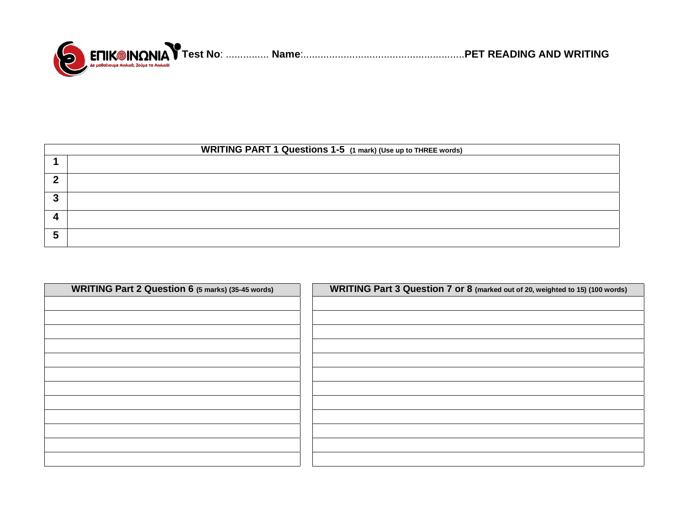

| <b>WRITING PART 1 Questions 1-5</b> (1 mark) (Use up to THREE words) |  |  |  |  |  |  |
|----------------------------------------------------------------------|--|--|--|--|--|--|
|                                                                      |  |  |  |  |  |  |
|                                                                      |  |  |  |  |  |  |
|                                                                      |  |  |  |  |  |  |
|                                                                      |  |  |  |  |  |  |
|                                                                      |  |  |  |  |  |  |

| <b>WRITING Part 2 Question 6 (5 marks) (35-45 words)</b> | WRITING Part 3 Question 7 or 8 (marked out of 20, weighted to 15) (100 words) |
|----------------------------------------------------------|-------------------------------------------------------------------------------|
|                                                          |                                                                               |
|                                                          |                                                                               |
|                                                          |                                                                               |
|                                                          |                                                                               |
|                                                          |                                                                               |
|                                                          |                                                                               |
|                                                          |                                                                               |
|                                                          |                                                                               |
|                                                          |                                                                               |
|                                                          |                                                                               |
|                                                          |                                                                               |
|                                                          |                                                                               |